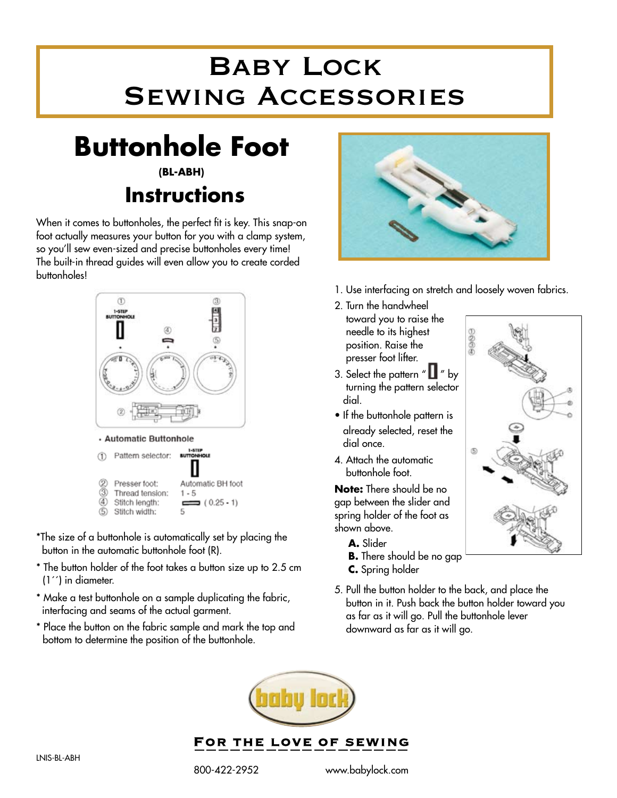## Baby Lock Sewing Accessories

## **Buttonhole Foot**

## **(BL-ABH) Instructions**

When it comes to buttonholes, the perfect fit is key. This snap-on foot actually measures your button for you with a clamp system, so you'll sew even-sized and precise buttonholes every time! The built-in thread guides will even allow you to create corded buttonholes!



- \*The size of a buttonhole is automatically set by placing the button in the automatic buttonhole foot (R).
- \* The button holder of the foot takes a button size up to 2.5 cm (1´´) in diameter.
- \* Make a test buttonhole on a sample duplicating the fabric, interfacing and seams of the actual garment.
- \* Place the button on the fabric sample and mark the top and bottom to determine the position of the buttonhole.



1. Use interfacing on stretch and loosely woven fabrics.

9006

舌

- 2. Turn the handwheel toward you to raise the needle to its highest position. Raise the presser foot lifter.
- 3. Select the pattern  $" \blacksquare"$  by turning the pattern selector dial.
- If the buttonhole pattern is already selected, reset the dial once.
- 4. Attach the automatic buttonhole foot.

**Note:** There should be no gap between the slider and spring holder of the foot as shown above.

- **A.** Slider
- **B.** There should be no gap
- **C.** Spring holder
- 5. Pull the button holder to the back, and place the button in it. Push back the button holder toward you as far as it will go. Pull the buttonhole lever downward as far as it will go.



FOR THE LOVE OF SEWING

800-422-2952 www.babylock.com